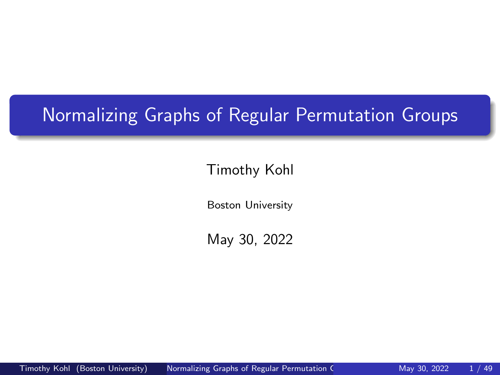# Normalizing Graphs of Regular Permutation Groups

## Timothy Kohl

Boston University

<span id="page-0-0"></span>May 30, 2022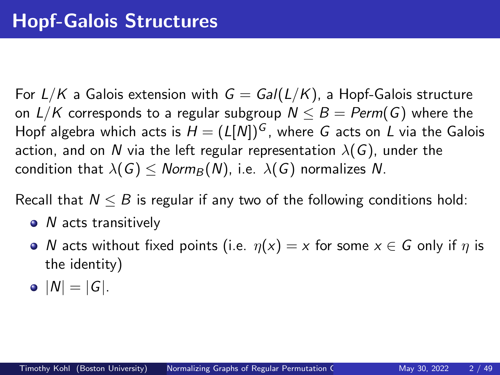For  $L/K$  a Galois extension with  $G = Gal(L/K)$ , a Hopf-Galois structure on  $L/K$  corresponds to a regular subgroup  $N \leq B = \text{Perm}(G)$  where the Hopf algebra which acts is  $H = (L[N])^G$ , where G acts on L via the Galois action, and on N via the left regular representation  $\lambda(G)$ , under the condition that  $\lambda(G)$  < *Norm*<sub>B</sub> $(N)$ , i.e.  $\lambda(G)$  normalizes *N*.

Recall that  $N \leq B$  is regular if any two of the following conditions hold:

- *N* acts transitively
- *N* acts without fixed points (i.e.  $\eta(x) = x$  for some  $x \in G$  only if  $\eta$  is the identity)
- $|N| = |G|$ .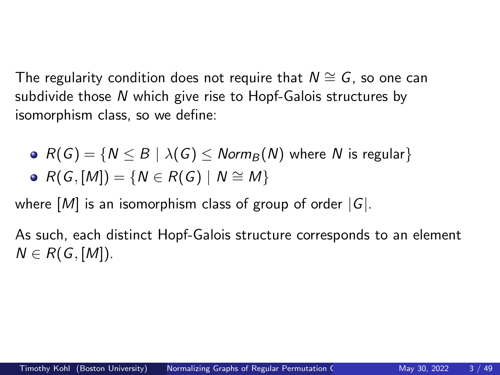The regularity condition does not require that *N*  $\cong$  *G*, so one can subdivide those *N* which give rise to Hopf-Galois structures by isomorphism class, so we define:

\n- $$
R(G) = \{N \leq B \mid \lambda(G) \leq \text{Norm}_B(N) \text{ where } N \text{ is regular}\}
$$
\n- $R(G, [M]) = \{N \in R(G) \mid N \cong M\}$
\n

where [*M*] is an isomorphism class of group of order |*G*|.

As such, each distinct Hopf-Galois structure corresponds to an element  $N \in R(G, [M])$ .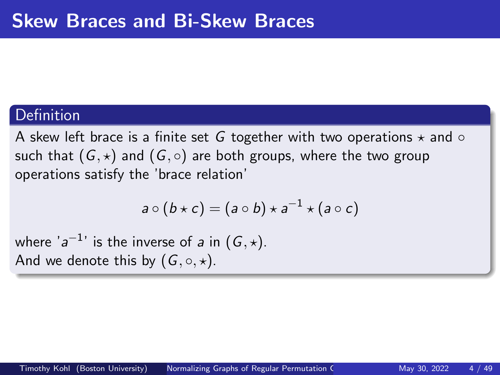#### **Definition**

A skew left brace is a finite set G together with two operations  $\star$  and  $\circ$ such that  $(G, \star)$  and  $(G, \circ)$  are both groups, where the two group operations satisfy the 'brace relation'

$$
a\circ (b\star c)=(a\circ b)\star a^{-1}\star (a\circ c)
$$

where ' $a^{-1}$ ' is the inverse of  $a$  in  $(G, \star)$ . And we denote this by  $(G, \circ, \star)$ .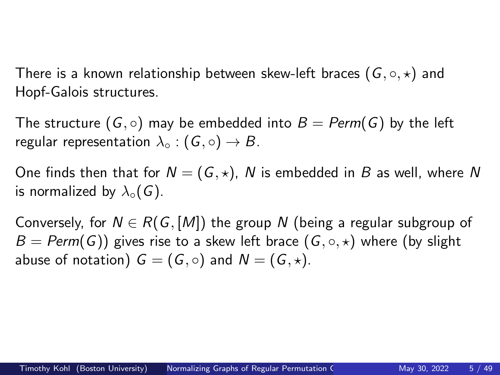There is a known relationship between skew-left braces  $(G, \circ, \star)$  and Hopf-Galois structures.

The structure  $(G, \circ)$  may be embedded into  $B = \text{Perm}(G)$  by the left regular representation  $\lambda_0$  :  $(G, \circ) \rightarrow B$ .

One finds then that for  $N = (G, \star)$ , N is embedded in B as well, where N is normalized by  $\lambda_0(G)$ .

Conversely, for  $N \in R(G, [M])$  the group N (being a regular subgroup of  $B = \text{Perm}(G)$ ) gives rise to a skew left brace  $(G, \circ, \star)$  where (by slight abuse of notation)  $G = (G, \circ)$  and  $N = (G, \star)$ .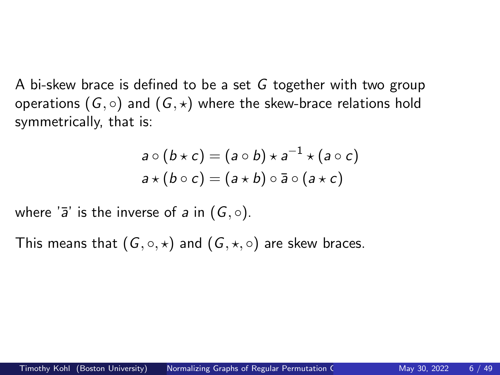A bi-skew brace is defined to be a set *G* together with two group operations  $(G, \circ)$  and  $(G, \star)$  where the skew-brace relations hold symmetrically, that is:

$$
a \circ (b \star c) = (a \circ b) \star a^{-1} \star (a \circ c)
$$
  

$$
a \star (b \circ c) = (a \star b) \circ \bar{a} \circ (a \star c)
$$

where  $\overline{a}'$  is the inverse of *a* in  $(G, \circ)$ .

This means that  $(G, \circ, \star)$  and  $(G, \star, \circ)$  are skew braces.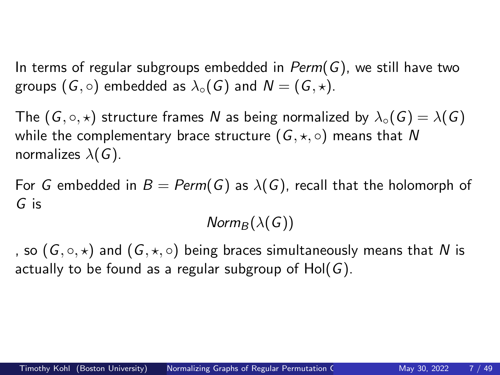In terms of regular subgroups embedded in *Perm*(*G*), we still have two groups  $(G, \circ)$  embedded as  $\lambda_{\circ}(G)$  and  $N = (G, \star)$ .

The  $(G, \circ, \star)$  structure frames *N* as being normalized by  $\lambda_{\circ}(G) = \lambda(G)$ while the complementary brace structure  $(G, \star, \circ)$  means that N normalizes  $\lambda(G)$ .

For *G* embedded in  $B = Perm(G)$  as  $\lambda(G)$ , recall that the holomorph of *G* is

 $Norm_B(\lambda(G))$ 

, so  $(G, \circ, \star)$  and  $(G, \star, \circ)$  being braces simultaneously means that N is actually to be found as a regular subgroup of Hol(*G*).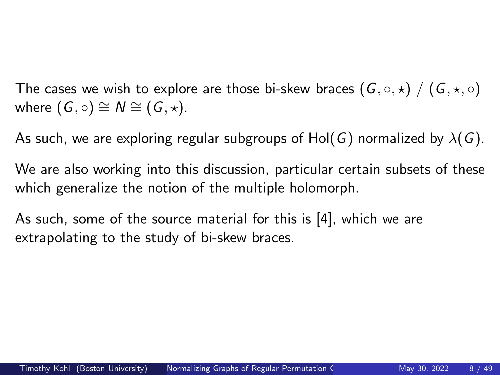The cases we wish to explore are those bi-skew braces  $(G, \circ, \star)$  /  $(G, \star, \circ)$ where  $(G, \circ) \cong N \cong (G, \star)$ .

As such, we are exploring regular subgroups of Hol(*G*) normalized by  $\lambda(G)$ .

We are also working into this discussion, particular certain subsets of these which generalize the notion of the multiple holomorph.

As such, some of the source material for this is [\[4\]](#page-53-0), which we are extrapolating to the study of bi-skew braces.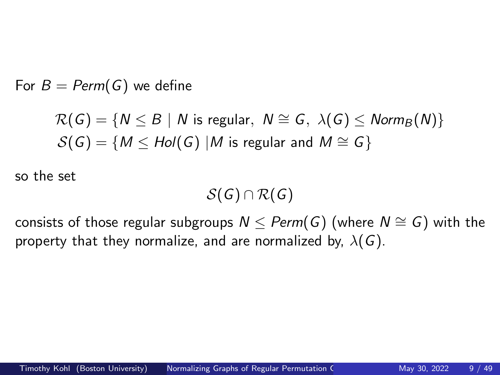For  $B = Perm(G)$  we define

$$
\mathcal{R}(G) = \{ N \leq B \mid N \text{ is regular}, N \cong G, \lambda(G) \leq \text{Norm}_B(N) \}
$$
  

$$
\mathcal{S}(G) = \{ M \leq \text{Hol}(G) \mid M \text{ is regular and } M \cong G \}
$$

so the set

$$
\mathcal{S}(G) \cap \mathcal{R}(G)
$$

consists of those regular subgroups  $N \leq$  *Perm*(*G*) (where  $N \cong G$ ) with the property that they normalize, and are normalized by,  $\lambda(G)$ .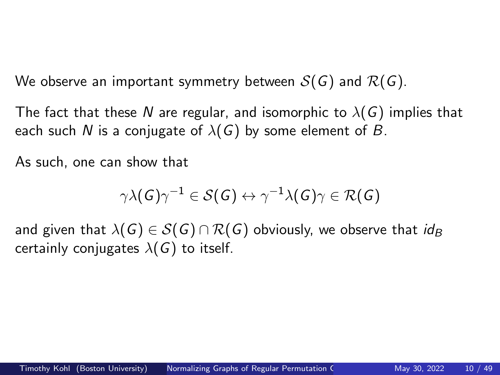We observe an important symmetry between  $S(G)$  and  $R(G)$ .

The fact that these N are regular, and isomorphic to  $\lambda(G)$  implies that each such N is a conjugate of  $\lambda(G)$  by some element of B.

As such, one can show that

$$
\gamma\lambda(\mathit{G})\gamma^{-1}\in\mathcal{S}(\mathit{G})\leftrightarrow\gamma^{-1}\lambda(\mathit{G})\gamma\in\mathcal{R}(\mathit{G})
$$

and given that  $\lambda(G) \in S(G) \cap R(G)$  obviously, we observe that *id<sub>B</sub>* certainly conjugates  $\lambda(G)$  to itself.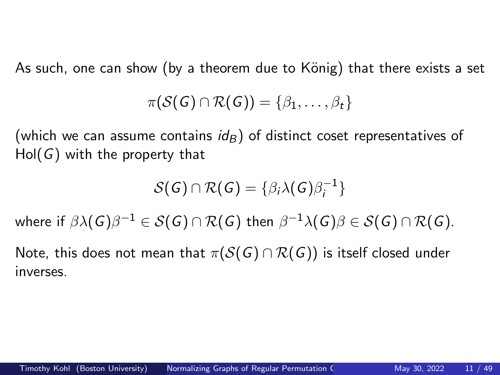As such, one can show (by a theorem due to König) that there exists a set

$$
\pi(\mathcal{S}(G) \cap \mathcal{R}(G)) = \{\beta_1, \ldots, \beta_t\}
$$

(which we can assume contains  $id_B$ ) of distinct coset representatives of Hol(*G*) with the property that

$$
\mathcal{S}(G) \cap \mathcal{R}(G) = \{ \beta_i \lambda(G) \beta_i^{-1} \}
$$

where if  $\beta\lambda(G)\beta^{-1}\in\mathcal S(G)\cap\mathcal R(G)$  then  $\beta^{-1}\lambda(G)\beta\in\mathcal S(G)\cap\mathcal R(G).$ 

Note, this does not mean that  $\pi(S(G) \cap R(G))$  is itself closed under inverses.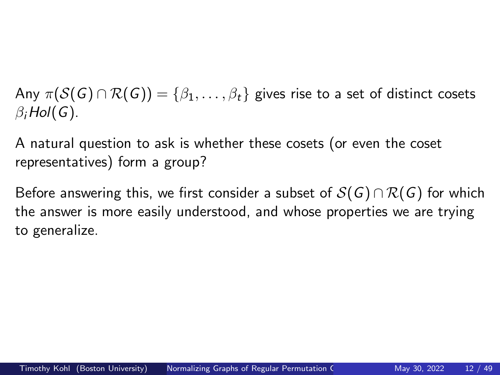Any  $\pi(S(G) \cap \mathcal{R}(G)) = \{\beta_1, \ldots, \beta_t\}$  gives rise to a set of distinct cosets  $\beta_i$ *Hol*( $G$ ).

A natural question to ask is whether these cosets (or even the coset representatives) form a group?

Before answering this, we first consider a subset of  $S(G) \cap R(G)$  for which the answer is more easily understood, and whose properties we are trying to generalize.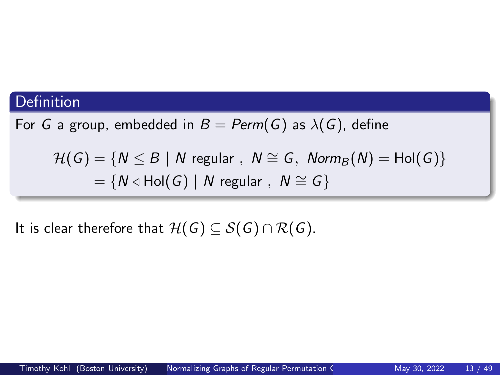## Definition

For *G* a group, embedded in  $B = Perm(G)$  as  $\lambda(G)$ , define

 $\mathcal{H}(G) = \{ N \leq B \mid N \text{ regular }, N \cong G, \text{ Norm}_{B}(N) = Hol(G) \}$  $= \{N \triangleleft Hol(G) \mid N \text{ regular}, N \cong G\}$ 

It is clear therefore that  $\mathcal{H}(G) \subseteq \mathcal{S}(G) \cap \mathcal{R}(G)$ .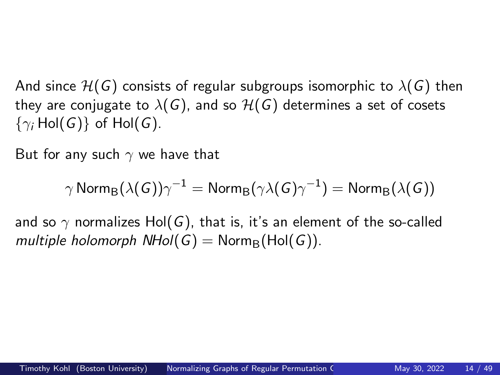And since  $H(G)$  consists of regular subgroups isomorphic to  $\lambda(G)$  then they are conjugate to  $\lambda(G)$ , and so  $\mathcal{H}(G)$  determines a set of cosets  $\{\gamma_i\$  Hol(*G*)} of Hol(*G*).

But for any such  $\gamma$  we have that

$$
\gamma \,\text{Norm}_{\text{B}}(\lambda(G))\gamma^{-1}=\text{Norm}_{\text{B}}(\gamma \lambda(G)\gamma^{-1})=\text{Norm}_{\text{B}}(\lambda(G))
$$

and so  $\gamma$  normalizes Hol(G), that is, it's an element of the so-called *multiple holomorph NHol*( $G$ ) = Norm<sub>B</sub>(Hol( $G$ )).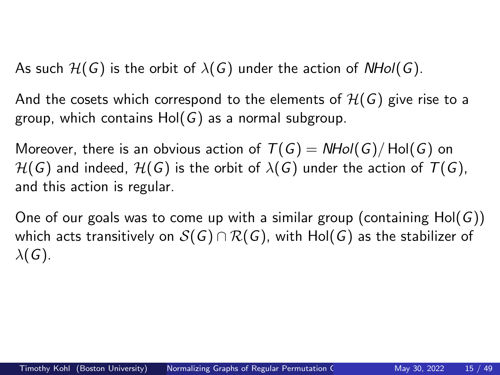As such  $H(G)$  is the orbit of  $\lambda(G)$  under the action of  $NHol(G)$ .

And the cosets which correspond to the elements of  $H(G)$  give rise to a group, which contains Hol(*G*) as a normal subgroup.

Moreover, there is an obvious action of  $T(G) = NHol(G)/Hol(G)$  on  $H(G)$  and indeed,  $H(G)$  is the orbit of  $\lambda(G)$  under the action of  $T(G)$ , and this action is regular.

One of our goals was to come up with a similar group (containing Hol(*G*)) which acts transitively on  $S(G) \cap R(G)$ , with Hol(G) as the stabilizer of  $\lambda(G)$ .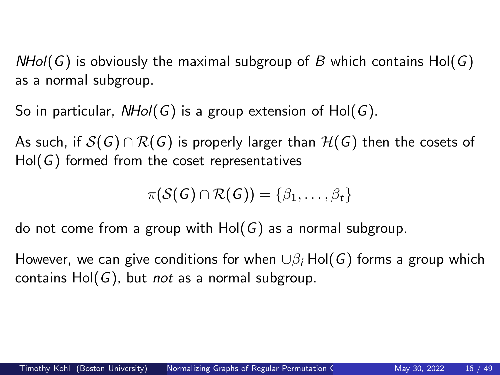*NHol*(*G*) is obviously the maximal subgroup of *B* which contains Hol(*G*) as a normal subgroup.

So in particular, *NHol*(*G*) is a group extension of Hol(*G*).

As such, if  $S(G) \cap R(G)$  is properly larger than  $H(G)$  then the cosets of Hol(*G*) formed from the coset representatives

$$
\pi(\mathcal{S}(G) \cap \mathcal{R}(G)) = \{\beta_1, \ldots, \beta_t\}
$$

do not come from a group with Hol(*G*) as a normal subgroup.

However, we can give conditions for when  $\cup \beta_i$  Hol(*G*) forms a group which contains Hol(*G*), but *not* as a normal subgroup.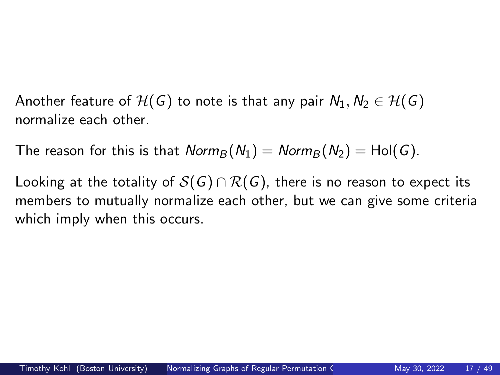Another feature of  $H(G)$  to note is that any pair  $N_1, N_2 \in H(G)$ normalize each other.

The reason for this is that  $Norm_B(N_1) = Norm_B(N_2) = Hol(G)$ .

Looking at the totality of  $S(G) \cap R(G)$ , there is no reason to expect its members to mutually normalize each other, but we can give some criteria which imply when this occurs.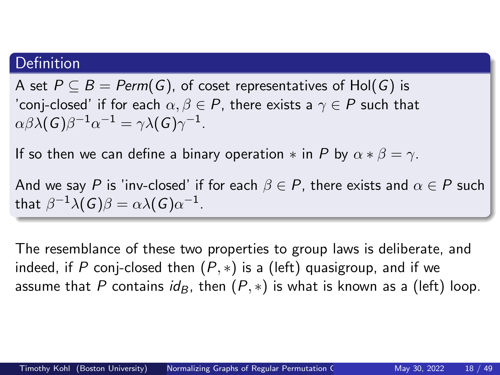## Definition

A set  $P \subseteq B = \text{Perm}(G)$ , of coset representatives of Hol(G) is 'conj-closed' if for each  $\alpha, \beta \in P$ , there exists a  $\gamma \in P$  such that  $\alpha\beta\lambda(\mathcal{G})\beta^{-1}\alpha^{-1}=\gamma\lambda(\mathcal{G})\gamma^{-1}.$ 

If so then we can define a binary operation  $*$  in *P* by  $\alpha * \beta = \gamma$ .

And we say P is 'inv-closed' if for each  $\beta \in P$ , there exists and  $\alpha \in P$  such that  $\beta^{-1}\lambda(G)\beta=\alpha\lambda(G)\alpha^{-1}$ .

The resemblance of these two properties to group laws is deliberate, and indeed, if *P* conj-closed then (*P*, ∗) is a (left) quasigroup, and if we assume that *P* contains  $id_B$ , then  $(P, *)$  is what is known as a (left) loop.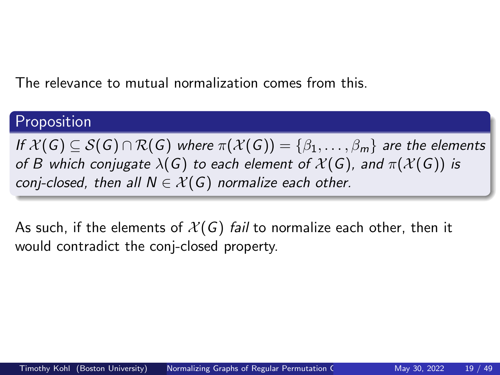The relevance to mutual normalization comes from this.

## Proposition

*If*  $\mathcal{X}(G) \subseteq \mathcal{S}(G) \cap \mathcal{R}(G)$  *where*  $\pi(\mathcal{X}(G)) = {\beta_1, \ldots, \beta_m}$  *are the elements of B which conjugate*  $\lambda(G)$  *to each element of*  $\mathcal{X}(G)$ *, and*  $\pi(\mathcal{X}(G))$  *is conj-closed, then all*  $N \in \mathcal{X}(G)$  *normalize each other.* 

As such, if the elements of  $\mathcal{X}(G)$  *fail* to normalize each other, then it would contradict the conj-closed property.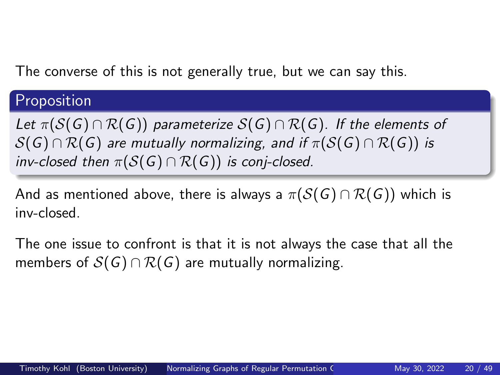The converse of this is not generally true, but we can say this.

## Proposition

*Let*  $\pi(S(G) \cap \mathcal{R}(G))$  *parameterize*  $S(G) \cap \mathcal{R}(G)$ *. If the elements of*  $S(G) \cap R(G)$  are mutually normalizing, and if  $\pi(S(G) \cap R(G))$  is *inv-closed then*  $\pi(S(G) \cap R(G))$  *is conj-closed.* 

And as mentioned above, there is always a  $\pi(S(G) \cap R(G))$  which is inv-closed.

The one issue to confront is that it is not always the case that all the members of  $S(G) \cap R(G)$  are mutually normalizing.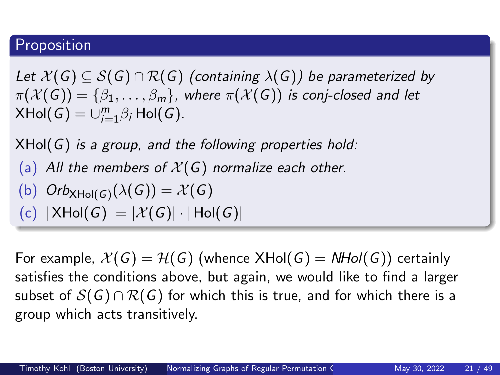## Proposition

*Let*  $\mathcal{X}(G) \subseteq \mathcal{S}(G) \cap \mathcal{R}(G)$  (containing  $\lambda(G)$ ) be parameterized by  $\pi(\mathcal{X}(\mathsf{G})) = \{\beta_1, \ldots, \beta_m\},\$  where  $\pi(\mathcal{X}(\mathsf{G}))$  *is conj-closed and let*  $X\text{Hol}(G) = \cup_{i=1}^m \beta_i \text{Hol}(G)$ .

XHol(*G*) *is a group, and the following properties hold:*

(a) All the members of  $X(G)$  normalize each other.

(b) 
$$
Orb_{XHol(G)}(\lambda(G)) = \mathcal{X}(G)
$$

(c) 
$$
|XHol(G)| = |\mathcal{X}(G)| \cdot |Hol(G)|
$$

For example,  $\mathcal{X}(G) = \mathcal{H}(G)$  (whence  $XHol(G) = NHol(G)$ ) certainly satisfies the conditions above, but again, we would like to find a larger subset of  $S(G) \cap R(G)$  for which this is true, and for which there is a group which acts transitively.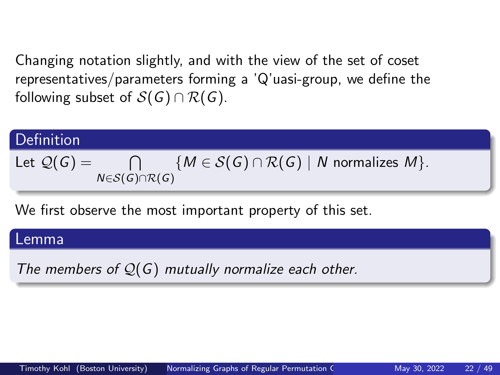Changing notation slightly, and with the view of the set of coset representatives/parameters forming a 'Q'uasi-group, we define the following subset of  $S(G) \cap R(G)$ .

Definition

\nLet 
$$
Q(G) = \bigcap_{N \in S(G) \cap R(G)} \{M \in S(G) \cap R(G) \mid N \text{ normalizes } M\}.
$$

We first observe the most important property of this set.

#### Lemma

*The members of* Q(*G*) *mutually normalize each other.*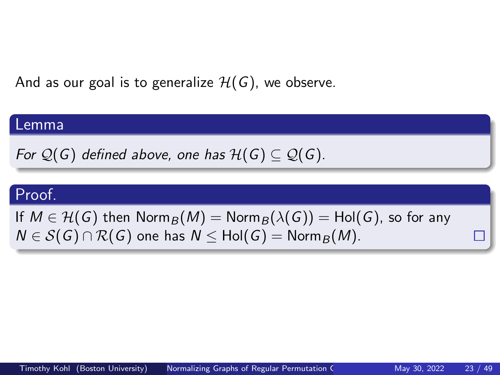And as our goal is to generalize  $H(G)$ , we observe.

#### Lemma

*For*  $\mathcal{Q}(G)$  *defined above, one has*  $\mathcal{H}(G) \subset \mathcal{Q}(G)$ *.* 

## Proof.

If  $M \in H(G)$  then  $\text{Norm}_B(M) = \text{Norm}_B(\lambda(G)) = \text{Hol}(G)$ , so for any  $N \in S(G) \cap R(G)$  one has  $N \leq Hol(G) = \text{Norm}_B(M)$ .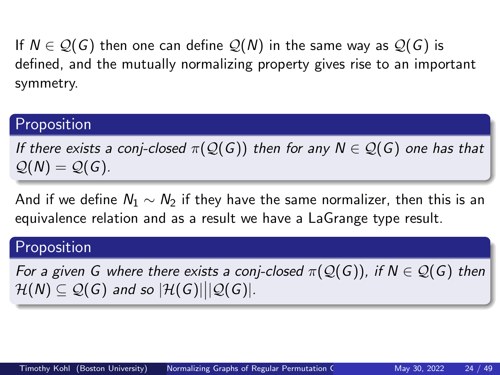If  $N \in \mathcal{Q}(G)$  then one can define  $\mathcal{Q}(N)$  in the same way as  $\mathcal{Q}(G)$  is defined, and the mutually normalizing property gives rise to an important symmetry.

## Proposition

*If there exists a conj-closed*  $\pi(\mathcal{Q}(G))$  *then for any*  $N \in \mathcal{Q}(G)$  *one has that*  $Q(N) = Q(G)$ .

And if we define *N*<sup>1</sup> ∼ *N*<sup>2</sup> if they have the same normalizer, then this is an equivalence relation and as a result we have a LaGrange type result.

## Proposition

*For a given G where there exists a conj-closed*  $\pi(\mathcal{Q}(G))$ , if  $N \in \mathcal{Q}(G)$  then  $\mathcal{H}(N) \subseteq \mathcal{Q}(G)$  and so  $|\mathcal{H}(G)| | |\mathcal{Q}(G)|$ .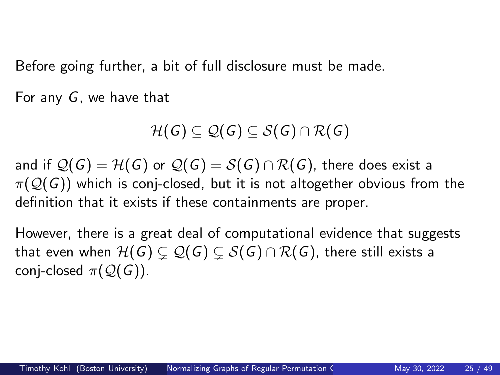Before going further, a bit of full disclosure must be made.

For any *G*, we have that

$$
\mathcal{H}(G) \subseteq \mathcal{Q}(G) \subseteq \mathcal{S}(G) \cap \mathcal{R}(G)
$$

and if  $\mathcal{Q}(G) = \mathcal{H}(G)$  or  $\mathcal{Q}(G) = \mathcal{S}(G) \cap \mathcal{R}(G)$ , there does exist a  $\pi(Q(G))$  which is conj-closed, but it is not altogether obvious from the definition that it exists if these containments are proper.

However, there is a great deal of computational evidence that suggests that even when  $H(G) \subseteq Q(G) \subseteq S(G) \cap R(G)$ , there still exists a conj-closed  $\pi(Q(G))$ .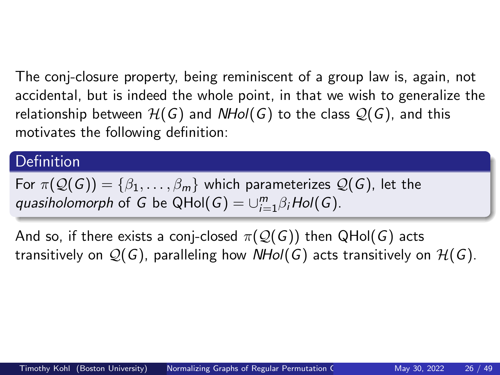The conj-closure property, being reminiscent of a group law is, again, not accidental, but is indeed the whole point, in that we wish to generalize the relationship between  $H(G)$  and  $NHol(G)$  to the class  $Q(G)$ , and this motivates the following definition:

## **Definition**

For  $\pi(\mathcal{Q}(G)) = \{\beta_1, \ldots, \beta_m\}$  which parameterizes  $\mathcal{Q}(G)$ , let the  $quasiholomorph$  of *G* be QHol $(G) = \cup_{i=1}^{m} \beta_i Hol(G)$ .

And so, if there exists a conj-closed  $\pi(\mathcal{Q}(G))$  then  $QHol(G)$  acts transitively on  $\mathcal{Q}(G)$ , paralleling how *NHol*(*G*) acts transitively on  $\mathcal{H}(G)$ .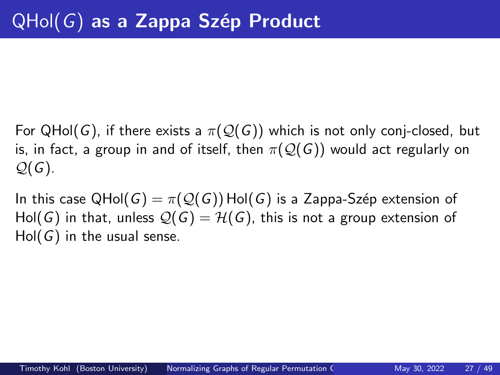For QHol(*G*), if there exists a  $\pi(\mathcal{Q}(G))$  which is not only conj-closed, but is, in fact, a group in and of itself, then  $\pi(Q(G))$  would act regularly on Q(*G*).

In this case  $QHol(G) = \pi(Q(G))$  Hol(*G*) is a Zappa-Szép extension of Hol(*G*) in that, unless  $\mathcal{Q}(G) = \mathcal{H}(G)$ , this is not a group extension of Hol(*G*) in the usual sense.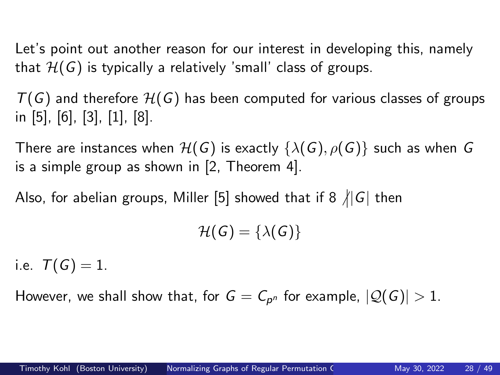Let's point out another reason for our interest in developing this, namely that  $H(G)$  is typically a relatively 'small' class of groups.

 $T(G)$  and therefore  $H(G)$  has been computed for various classes of groups in [\[5\]](#page-53-1), [\[6\]](#page-53-2), [\[3\]](#page-53-3), [\[1\]](#page-53-4), [\[8\]](#page-54-0).

There are instances when  $H(G)$  is exactly  $\{\lambda(G), \rho(G)\}$  such as when *G* is a simple group as shown in [\[2,](#page-53-5) Theorem 4].

Also, for abelian groups, Miller [\[5\]](#page-53-1) showed that if 8  $\#G$  then

 $\mathcal{H}(G) = {\lambda(G)}$ 

i.e.  $T(G) = 1$ .

However, we shall show that, for  $\mathsf{G}=\mathsf{C}_{\mathsf{p}^n}$  for example,  $|\mathcal{Q}(\mathsf{G})|>1.$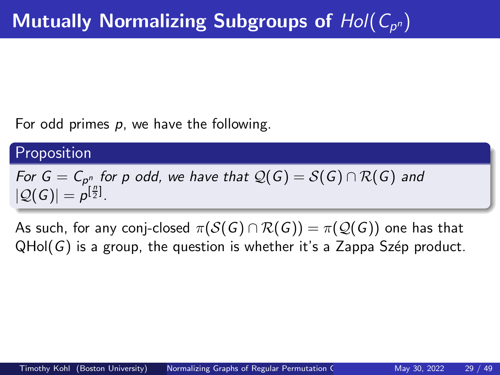For odd primes *p*, we have the following.

## Proposition

*For*  $G = C_{p^n_{\perp}}$  *for p odd, we have that*  $\mathcal{Q}(G) = \mathcal{S}(G) \cap \mathcal{R}(G)$  *and*  $|Q(G)| = p^{[\frac{n}{2}]}$ .

As such, for any conj-closed  $\pi(S(G) \cap \mathcal{R}(G)) = \pi(\mathcal{Q}(G))$  one has that QHol(G) is a group, the question is whether it's a Zappa Szép product.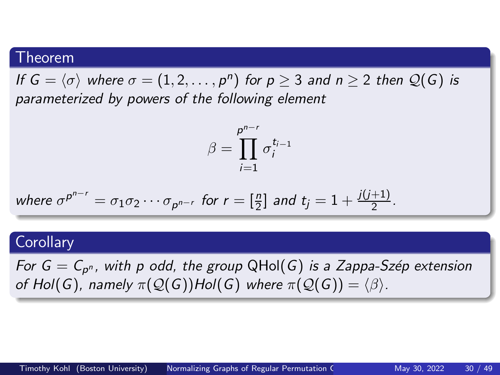#### Theorem

*If*  $G = \langle \sigma \rangle$  *where*  $\sigma = (1, 2, \ldots, p^n)$  for  $p \geq 3$  and  $n \geq 2$  then  $\mathcal{Q}(G)$  is *parameterized by powers of the following element*

$$
\beta = \prod_{i=1}^{p^{n-r}} \sigma_i^{t_{i-1}}
$$

where 
$$
\sigma^{p^{n-r}} = \sigma_1 \sigma_2 \cdots \sigma_{p^{n-r}}
$$
 for  $r = \left[\frac{n}{2}\right]$  and  $t_j = 1 + \frac{j(j+1)}{2}$ .

#### **Corollary**

*For G* = *C*<sup>p</sup> <sup>n</sup> *, with p odd, the group* QHol(*G*) *is a Zappa-Sz´ep extension of Hol*(*G*), *namely*  $\pi(\mathcal{Q}(G))$ *Hol*(*G*) *where*  $\pi(\mathcal{Q}(G)) = \langle \beta \rangle$ *.*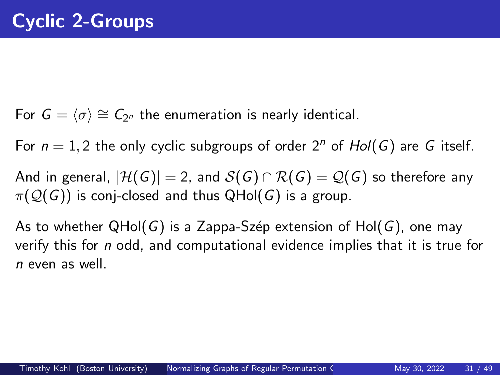For  $G = \langle \sigma \rangle \cong C_{2^n}$  the enumeration is nearly identical.

For  $n = 1, 2$  the only cyclic subgroups of order  $2<sup>n</sup>$  of  $Hol(G)$  are G itself.

And in general,  $|\mathcal{H}(G)| = 2$ , and  $\mathcal{S}(G) \cap \mathcal{R}(G) = \mathcal{Q}(G)$  so therefore any  $\pi(Q(G))$  is conj-closed and thus QHol(*G*) is a group.

As to whether QHol(*G*) is a Zappa-Szép extension of Hol(*G*), one may verify this for *n* odd, and computational evidence implies that it is true for *n* even as well.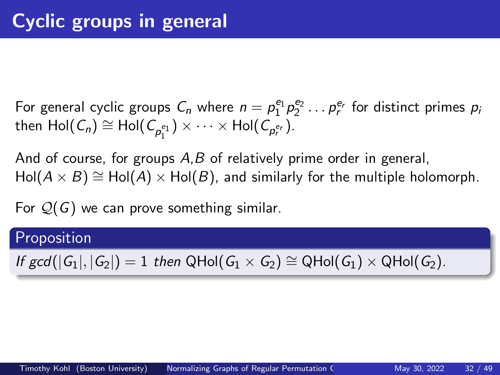For general cyclic groups  $C_n$  where  $n = \rho_1^{e_1} \rho_2^{e_2} \dots \rho_r^{e_r}$  for distinct primes  $\rho_i$  $\mathsf{then} \; \mathsf{Hol}(\mathit{C}_n) \cong \mathsf{Hol}(\mathit{C}_{\rho_1^{e_1}}) \times \cdots \times \mathsf{Hol}(\mathit{C}_{\rho_r^{e_r}}).$ 1

And of course, for groups *A*,*B* of relatively prime order in general,  $Hol(A \times B) \cong Hol(A) \times Hol(B)$ , and similarly for the multiple holomorph.

For Q(*G*) we can prove something similar.

## Proposition

 $If \text{ gcd}(|G_1|, |G_2|) = 1$  *then*  $QHol(G_1 \times G_2) \cong QHol(G_1) \times QHol(G_2)$ .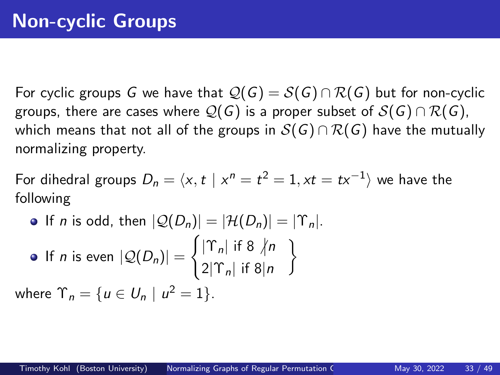For cyclic groups *G* we have that  $\mathcal{Q}(G) = \mathcal{S}(G) \cap \mathcal{R}(G)$  but for non-cyclic groups, there are cases where  $\mathcal{Q}(G)$  is a proper subset of  $\mathcal{S}(G) \cap \mathcal{R}(G)$ , which means that not all of the groups in  $S(G) \cap R(G)$  have the mutually normalizing property.

For dihedral groups  $D_n = \langle x, t \mid x^n = t^2 = 1, xt = tx^{-1} \rangle$  we have the following

\n- If *n* is odd, then 
$$
|Q(D_n)| = |\mathcal{H}(D_n)| = |\Upsilon_n|
$$
.
\n- If *n* is even  $|Q(D_n)| = \begin{cases} |\Upsilon_n| & \text{if } 8 \nmid n \\ 2|\Upsilon_n| & \text{if } 8 \mid n \end{cases}$  where  $\Upsilon_n = \{u \in U_n \mid u^2 = 1\}$ .
\n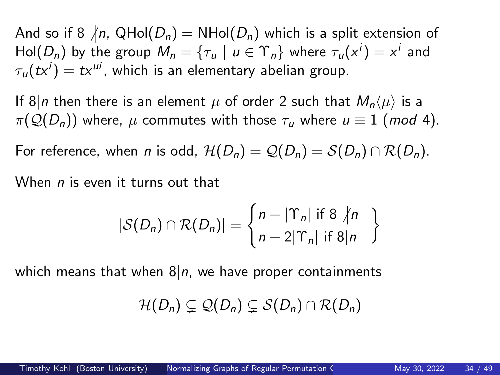And so if 8  $/n$ , QHol $(D_n)$  = NHol $(D_n)$  which is a split extension of  $\mathsf{Hol}(D_n)$  by the group  $M_n = \{ \tau_u \mid u \in \Upsilon_n \}$  where  $\tau_u(x^i) = x^i$  and  $\tau_u(tx^i)=tx^{ui}$ , which is an elementary abelian group.

If 8|*n* then there is an element  $\mu$  of order 2 such that  $M_n\langle \mu \rangle$  is a  $\pi(\mathcal{Q}(D_n))$  where,  $\mu$  commutes with those  $\tau_u$  where  $u \equiv 1 \pmod{4}$ .

For reference, when *n* is odd,  $\mathcal{H}(D_n) = \mathcal{Q}(D_n) = \mathcal{S}(D_n) \cap \mathcal{R}(D_n)$ .

When *n* is even it turns out that

$$
|\mathcal{S}(D_n) \cap \mathcal{R}(D_n)| = \begin{cases} n + |\Upsilon_n| & \text{if } 8 \nmid n \\ n + 2|\Upsilon_n| & \text{if } 8 | n \end{cases}
$$

which means that when  $8|n$ , we have proper containments

$$
\mathcal{H}(D_n)\subsetneq \mathcal{Q}(D_n)\subsetneq \mathcal{S}(D_n)\cap \mathcal{R}(D_n)
$$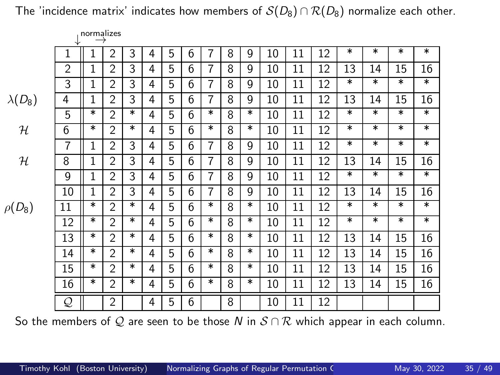|                |                | 1101111a112c3<br>$\rightarrow$ |                |        |   |   |   |                |   |   |    |    |    |    |        |        |        |
|----------------|----------------|--------------------------------|----------------|--------|---|---|---|----------------|---|---|----|----|----|----|--------|--------|--------|
|                | 1              | 1                              | $\overline{2}$ | 3      | 4 | 5 | 6 | $\overline{7}$ | 8 | 9 | 10 | 11 | 12 | *  | $\ast$ | *      | $\ast$ |
|                | $\overline{2}$ | 1                              | $\overline{2}$ | 3      | 4 | 5 | 6 | 7              | 8 | 9 | 10 | 11 | 12 | 13 | 14     | 15     | 16     |
|                | 3              | 1                              | 2              | 3      | 4 | 5 | 6 | 7              | 8 | 9 | 10 | 11 | 12 | *  | $\ast$ | *      | $\ast$ |
| $\lambda(D_8)$ | 4              | 1                              | $\overline{2}$ | 3      | 4 | 5 | 6 | 7              | 8 | 9 | 10 | 11 | 12 | 13 | 14     | 15     | 16     |
|                | 5              | *                              | $\overline{2}$ | $\ast$ | 4 | 5 | 6 | *              | 8 | * | 10 | 11 | 12 | *  | $\ast$ | $\ast$ | $\ast$ |
| н              | 6              | *                              | $\overline{2}$ | $\ast$ | 4 | 5 | 6 | *              | 8 | * | 10 | 11 | 12 | *  | $\ast$ | $\ast$ | $\ast$ |
|                | 7              | 1                              | $\overline{2}$ | 3      | 4 | 5 | 6 | 7              | 8 | 9 | 10 | 11 | 12 | *  | $\ast$ | $\ast$ | $\ast$ |
| н              | 8              | 1                              | $\overline{2}$ | 3      | 4 | 5 | 6 | 7              | 8 | 9 | 10 | 11 | 12 | 13 | 14     | 15     | 16     |
|                | 9              | 1                              | $\overline{2}$ | 3      | 4 | 5 | 6 | 7              | 8 | 9 | 10 | 11 | 12 | *  | $\ast$ | *      | $\ast$ |
|                | 10             | 1                              | $\overline{2}$ | 3      | 4 | 5 | 6 | 7              | 8 | 9 | 10 | 11 | 12 | 13 | 14     | 15     | 16     |
| $\rho(D_8)$    | 11             | *                              | $\overline{2}$ | $\ast$ | 4 | 5 | 6 | *              | 8 | * | 10 | 11 | 12 | *  | $\ast$ | $\ast$ | $\ast$ |
|                | 12             | $\ast$                         | $\overline{2}$ | $\ast$ | 4 | 5 | 6 | *              | 8 | * | 10 | 11 | 12 | *  | $\ast$ | $\ast$ | $\ast$ |
|                | 13             | *                              | $\overline{2}$ | $\ast$ | 4 | 5 | 6 | *              | 8 | * | 10 | 11 | 12 | 13 | 14     | 15     | 16     |
|                | 14             | *                              | $\overline{2}$ | $\ast$ | 4 | 5 | 6 | *              | 8 | * | 10 | 11 | 12 | 13 | 14     | 15     | 16     |
|                | 15             | *                              | 2              | $\ast$ | 4 | 5 | 6 | *              | 8 | * | 10 | 11 | 12 | 13 | 14     | 15     | 16     |
|                | 16             | *                              | $\overline{2}$ | *      | 4 | 5 | 6 | *              | 8 | * | 10 | 11 | 12 | 13 | 14     | 15     | 16     |
|                | Q              |                                | $\overline{2}$ |        | 4 | 5 | 6 |                | 8 |   | 10 | 11 | 12 |    |        |        |        |

So the members of Q are seen to be those N in  $S \cap R$  which appear in each column.

The 'incidence matrix' indicates how members of  $S(D_8) \cap R(D_8)$  normalize each other.

normalizes →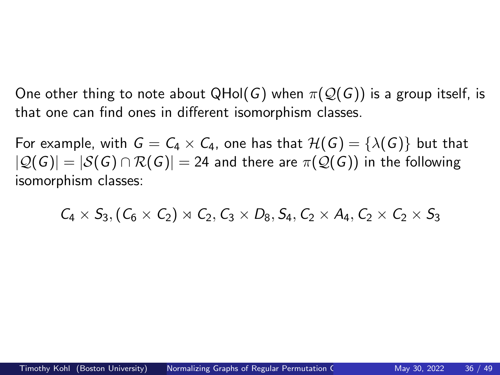One other thing to note about QHol(*G*) when  $\pi(Q(G))$  is a group itself, is that one can find ones in different isomorphism classes.

For example, with  $G = C_4 \times C_4$ , one has that  $H(G) = {\lambda(G)}$  but that  $|Q(G)| = |S(G) \cap R(G)| = 24$  and there are  $\pi(Q(G))$  in the following isomorphism classes:

 $C_4 \times S_3$ ,  $(C_6 \times C_2) \rtimes C_2$ ,  $C_3 \times D_8$ ,  $S_4$ ,  $C_2 \times A_4$ ,  $C_2 \times C_2 \times S_3$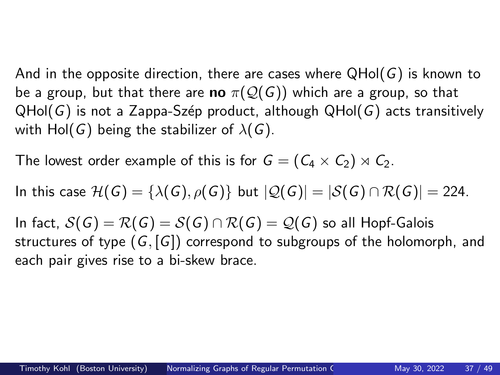And in the opposite direction, there are cases where QHol(*G*) is known to be a group, but that there are **no**  $\pi(\mathcal{Q}(G))$  which are a group, so that QHol(*G*) is not a Zappa-Sz´ep product, although QHol(*G*) acts transitively with Hol(*G*) being the stabilizer of  $\lambda(G)$ .

The lowest order example of this is for  $G = (C_4 \times C_2) \rtimes C_2$ .

In this case  $\mathcal{H}(G) = {\lambda(G), \rho(G)}$  but  $|\mathcal{Q}(G)| = |\mathcal{S}(G) \cap \mathcal{R}(G)| = 224$ .

In fact,  $S(G) = R(G) = S(G) \cap R(G) = Q(G)$  so all Hopf-Galois structures of type (*G*, [*G*]) correspond to subgroups of the holomorph, and each pair gives rise to a bi-skew brace.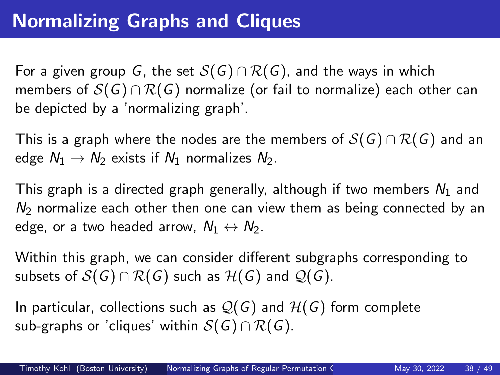For a given group *G*, the set  $S(G) \cap R(G)$ , and the ways in which members of  $S(G) \cap R(G)$  normalize (or fail to normalize) each other can be depicted by a 'normalizing graph'.

This is a graph where the nodes are the members of  $S(G) \cap R(G)$  and an edge  $N_1 \rightarrow N_2$  exists if  $N_1$  normalizes  $N_2$ .

This graph is a directed graph generally, although if two members *N*<sup>1</sup> and  $N<sub>2</sub>$  normalize each other then one can view them as being connected by an edge, or a two headed arrow,  $N_1 \leftrightarrow N_2$ .

Within this graph, we can consider different subgraphs corresponding to subsets of  $S(G) \cap R(G)$  such as  $H(G)$  and  $Q(G)$ .

In particular, collections such as  $\mathcal{Q}(G)$  and  $\mathcal{H}(G)$  form complete sub-graphs or 'cliques' within  $S(G) \cap R(G)$ .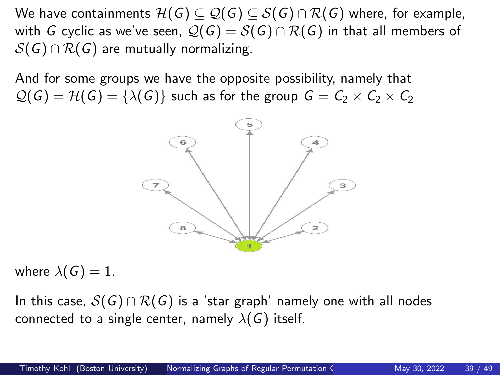We have containments  $\mathcal{H}(G) \subseteq \mathcal{Q}(G) \subseteq \mathcal{S}(G) \cap \mathcal{R}(G)$  where, for example, with *G* cyclic as we've seen,  $Q(G) = S(G) \cap R(G)$  in that all members of  $S(G) \cap R(G)$  are mutually normalizing.

And for some groups we have the opposite possibility, namely that  $Q(G) = H(G) = {\lambda(G)}$  such as for the group  $G = C_2 \times C_2 \times C_2$ 



where  $\lambda(G) = 1$ .

In this case,  $S(G) \cap R(G)$  is a 'star graph' namely one with all nodes connected to a single center, namely  $\lambda(G)$  itself.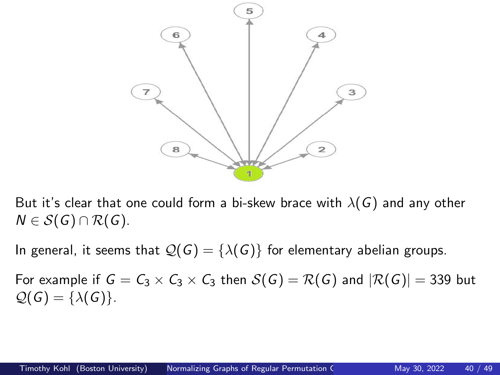

But it's clear that one could form a bi-skew brace with  $\lambda(G)$  and any other  $N \in S(G) \cap R(G)$ .

In general, it seems that  $\mathcal{Q}(G) = \{\lambda(G)\}\$ for elementary abelian groups.

For example if  $G = C_3 \times C_3 \times C_3$  then  $S(G) = \mathcal{R}(G)$  and  $|\mathcal{R}(G)| = 339$  but  $Q(G) = {\lambda(G)}$ .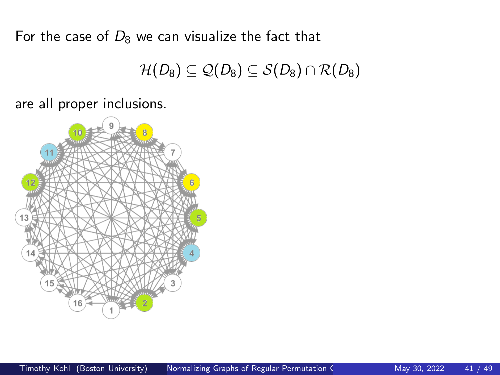For the case of  $D_8$  we can visualize the fact that

$$
\mathcal{H}(D_8)\subseteq\mathcal{Q}(D_8)\subseteq\mathcal{S}(D_8)\cap\mathcal{R}(D_8)
$$

are all proper inclusions.

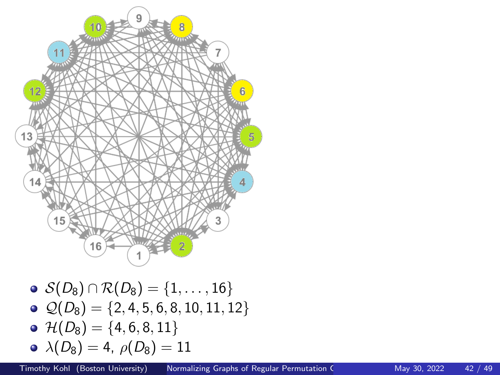

 $\odot$   $Q(D_8) = \{2, 4, 5, 6, 8, 10, 11, 12\}$  $\odot$  H( $D_8$ ) = {4, 6, 8, 11}

$$
\bullet\ \lambda(D_8)=4,\ \rho(D_8)=11
$$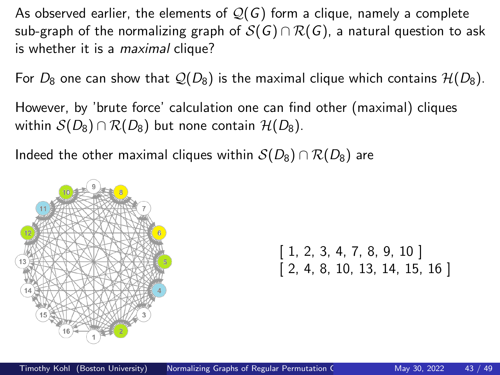As observed earlier, the elements of  $\mathcal{Q}(G)$  form a clique, namely a complete sub-graph of the normalizing graph of  $S(G) \cap R(G)$ , a natural question to ask is whether it is a *maximal* clique?

For  $D_8$  one can show that  $\mathcal{Q}(D_8)$  is the maximal clique which contains  $\mathcal{H}(D_8)$ .

However, by 'brute force' calculation one can find other (maximal) cliques within  $S(D_8) \cap R(D_8)$  but none contain  $H(D_8)$ .

Indeed the other maximal cliques within  $S(D_8) \cap R(D_8)$  are



 $[1, 2, 3, 4, 7, 8, 9, 10]$  $[2, 4, 8, 10, 13, 14, 15, 16]$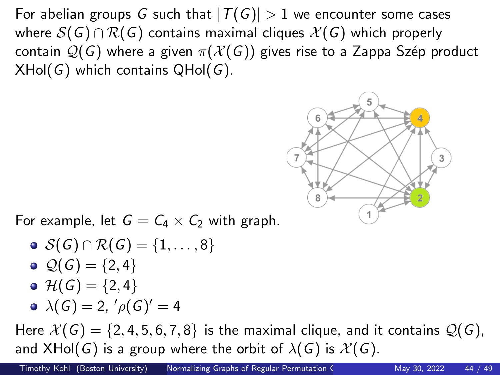For abelian groups *G* such that  $|T(G)| > 1$  we encounter some cases where  $S(G) \cap R(G)$  contains maximal cliques  $\mathcal{X}(G)$  which properly contain  $\mathcal{Q}(G)$  where a given  $\pi(\mathcal{X}(G))$  gives rise to a Zappa Szép product XHol(*G*) which contains QHol(*G*).



For example, let  $G = C_4 \times C_2$  with graph.

\n- $$
\mathcal{S}(G) \cap \mathcal{R}(G) = \{1, \ldots, 8\}
$$
\n- $\mathcal{Q}(G) = \{2, 4\}$
\n- $\mathcal{H}(G) = \{2, 4\}$
\n- $\lambda(G) = 2, \, \ell \rho(G)' = 4$
\n

Here  $\mathcal{X}(G) = \{2, 4, 5, 6, 7, 8\}$  is the maximal clique, and it contains  $\mathcal{Q}(G)$ , and  $XHol(G)$  is a group where the orbit of  $\lambda(G)$  is  $\mathcal{X}(G)$ .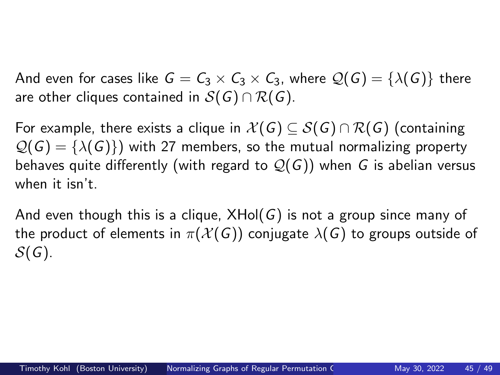And even for cases like  $G = C_3 \times C_3 \times C_3$ , where  $\mathcal{Q}(G) = {\lambda(G)}$  there are other cliques contained in S(*G*) ∩ R(*G*).

For example, there exists a clique in  $\mathcal{X}(G) \subseteq \mathcal{S}(G) \cap \mathcal{R}(G)$  (containing  $\mathcal{Q}(G) = {\lambda(G)}$  with 27 members, so the mutual normalizing property behaves quite differently (with regard to Q(*G*)) when *G* is abelian versus when it isn't.

And even though this is a clique, XHol(*G*) is not a group since many of the product of elements in  $\pi(\mathcal{X}(G))$  conjugate  $\lambda(G)$  to groups outside of S(*G*).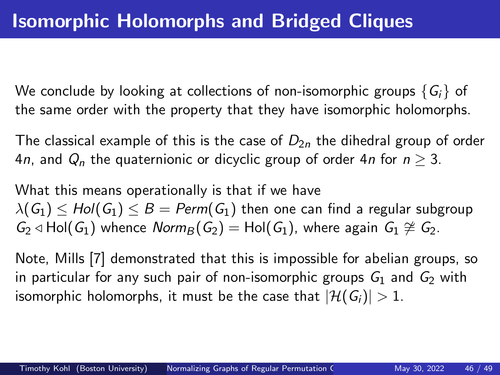We conclude by looking at collections of non-isomorphic groups  $\{G_i\}$  of the same order with the property that they have isomorphic holomorphs.

The classical example of this is the case of  $D_{2n}$  the dihedral group of order 4*n*, and  $Q_n$  the quaternionic or dicyclic group of order 4*n* for  $n > 3$ .

What this means operationally is that if we have  $\lambda(G_1) \leq Hol(G_1) \leq B = Perm(G_1)$  then one can find a regular subgroup  $G_2$  ⊲ Hol( $G_1$ ) whence *Norm*<sub>B</sub>( $G_2$ ) = Hol( $G_1$ ), where again  $G_1 \ncong G_2$ .

Note, Mills [\[7\]](#page-54-1) demonstrated that this is impossible for abelian groups, so in particular for any such pair of non-isomorphic groups  $G_1$  and  $G_2$  with isomorphic holomorphs, it must be the case that  $|\mathcal{H}(G_i)| > 1$ .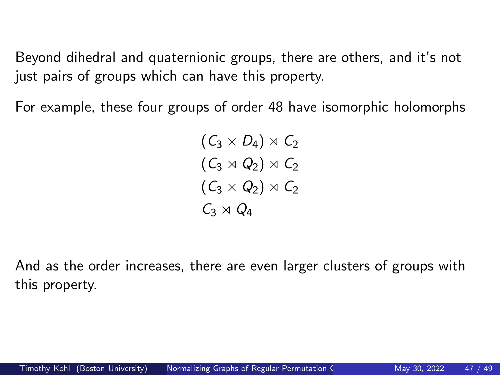Beyond dihedral and quaternionic groups, there are others, and it's not just pairs of groups which can have this property.

For example, these four groups of order 48 have isomorphic holomorphs

 $(C_3 \times D_4) \rtimes C_2$  $(C_3 \rtimes Q_2) \rtimes C_2$  $(C_3 \times Q_2) \rtimes C_2$ *C*<sup>3</sup> ⋊ *Q*<sup>4</sup>

And as the order increases, there are even larger clusters of groups with this property.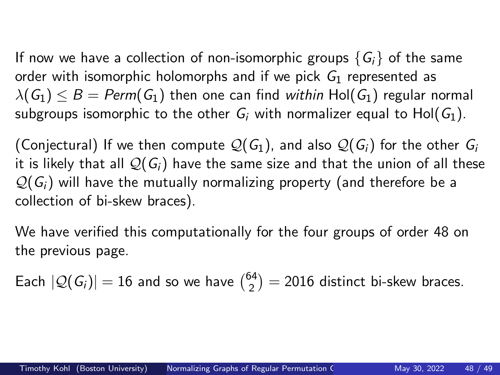If now we have a collection of non-isomorphic groups  $\{G_i\}$  of the same order with isomorphic holomorphs and if we pick *G*<sup>1</sup> represented as  $\lambda(G_1) \leq B = \text{Perm}(G_1)$  then one can find *within* Hol( $G_1$ ) regular normal subgroups isomorphic to the other  $G_i$  with normalizer equal to Hol( $G_1$ ).

(Conjectural) If we then compute  $\mathcal{Q}(G_1)$ , and also  $\mathcal{Q}(G_i)$  for the other  $G_i$ it is likely that all  $\mathcal{Q}(G_i)$  have the same size and that the union of all these  $\mathcal{Q}(G_i)$  will have the mutually normalizing property (and therefore be a collection of bi-skew braces).

We have verified this computationally for the four groups of order 48 on the previous page.

Each  $|{\cal Q}(G_i)| = 16$  and so we have  ${64 \choose 2}$  $\binom{24}{2}$  = 2016 distinct bi-skew braces.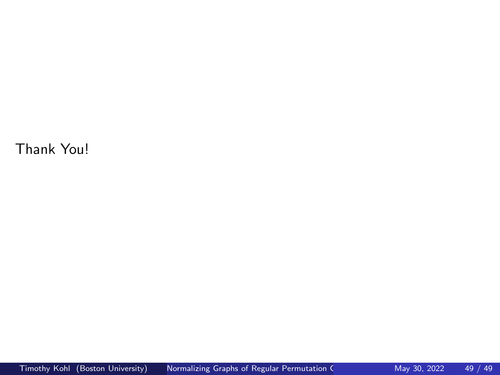<span id="page-48-0"></span>Thank You!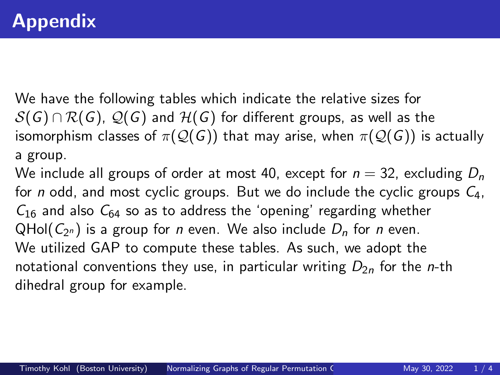We have the following tables which indicate the relative sizes for  $S(G) \cap R(G)$ ,  $\mathcal{Q}(G)$  and  $H(G)$  for different groups, as well as the isomorphism classes of  $\pi(\mathcal{Q}(G))$  that may arise, when  $\pi(\mathcal{Q}(G))$  is actually a group.

We include all groups of order at most 40, except for  $n = 32$ , excluding  $D_n$ for *n* odd, and most cyclic groups. But we do include the cyclic groups *C*4,  $C_{16}$  and also  $C_{64}$  so as to address the 'opening' regarding whether QHol $(C_{2^n})$  is a group for *n* even. We also include  $D_n$  for *n* even. We utilized GAP to compute these tables. As such, we adopt the notational conventions they use, in particular writing  $D_{2n}$  for the *n*-th dihedral group for example.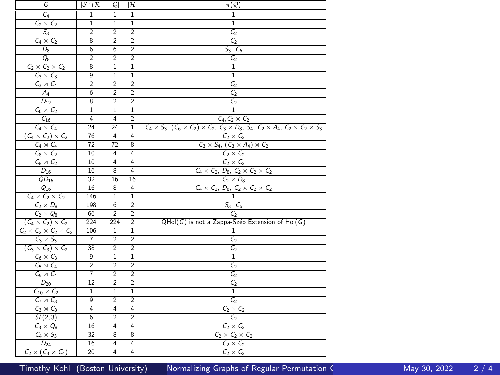| G                                      | $ \mathcal{S} \cap \mathcal{R} $ | $\mathcal{Q}$  | $ \mathcal{H} $         | $\pi(\mathcal{Q})$                                                                                                           |
|----------------------------------------|----------------------------------|----------------|-------------------------|------------------------------------------------------------------------------------------------------------------------------|
| $C_4$                                  | ī                                | $\overline{1}$ | ī                       | ī                                                                                                                            |
| $C_2 \times C_2$                       | 1                                | $\overline{1}$ | $\overline{1}$          | $\overline{1}$                                                                                                               |
| S <sub>3</sub>                         | $\overline{2}$                   | $\overline{2}$ | $\overline{2}$          | $\overline{\mathcal{C}_2}$                                                                                                   |
| $C_4 \times C_2$                       | 8                                | $\overline{2}$ | $\overline{2}$          | $\overline{\mathcal{C}_2}$                                                                                                   |
| $D_8$                                  | $\overline{6}$                   | $\overline{6}$ | $\overline{2}$          | $S_3, C_6$                                                                                                                   |
| $Q_8$                                  | 2                                | $\overline{2}$ | $\overline{2}$          | C <sub>2</sub>                                                                                                               |
| $C_2 \times C_2 \times C_2$            | 8                                | $\overline{1}$ | $\overline{1}$          | $\overline{1}$                                                                                                               |
| $C_3 \times C_3$                       | 9                                | $\overline{1}$ | 1                       | $\overline{1}$                                                                                                               |
| $C_3 \rtimes C_4$                      | $\overline{2}$                   | $\overline{2}$ | $\overline{2}$          | C <sub>2</sub>                                                                                                               |
| $A_4$                                  | $\overline{6}$                   | $\overline{2}$ | $\overline{2}$          | C <sub>2</sub>                                                                                                               |
| $D_{12}$                               | 8                                | $\overline{2}$ | 2                       | $C_{2}$                                                                                                                      |
| $C_6 \times C_2$                       | $\overline{1}$                   | $\overline{1}$ | $\overline{1}$          | ī                                                                                                                            |
| $C_{16}$                               | $\overline{4}$                   | 4              | $\overline{2}$          | $C_4, C_2 \times C_2$                                                                                                        |
| $C_4 \times C_4$                       | 24                               | 24             | 1                       | $C_4 \times S_3$ , $(C_6 \times C_2) \times C_2$ , $C_3 \times D_8$ , $S_4$ , $C_2 \times A_4$ , $C_2 \times C_2 \times S_3$ |
| $(C_4 \times C_2) \rtimes C_2$         | 76                               | 4              | 4                       | $C_2 \times C_2$                                                                                                             |
| $C_4 \rtimes C_4$                      | 72                               | 72             | $\overline{\mathbf{8}}$ | $C_3 \times S_4$ , $(C_3 \times A_4) \rtimes C_2$                                                                            |
| $C_8 \times C_2$                       | 10                               | 4              | 4                       | $C_2 \times C_2$                                                                                                             |
| $C_8 \rtimes C_2$                      | 10                               | 4              | 4                       | $\frac{C_2 \times C_2}{C_4 \times C_2, D_8, C_2 \times C_2 \times C_2}$                                                      |
| $D_{16}$                               | 16                               | 8              | $\overline{4}$          |                                                                                                                              |
| $QD_{16}$                              | 32                               | 16             | 16                      | $C_2 \times D_8$                                                                                                             |
| $Q_{16}$                               | 16                               | 8              | $\overline{4}$          | $\frac{C_4 \times C_2, D_8, C_2 \times C_2 \times C_2}{1}$                                                                   |
| $C_4 \times C_2 \times C_2$            | 146                              | $\overline{1}$ | $\,1$                   |                                                                                                                              |
| $C_2 \times D_8$                       | 198                              | $\overline{6}$ | $\overline{2}$          | $S_3, C_6$<br>$C_2$                                                                                                          |
| $C_2 \times Q_8$                       | 66                               | $\overline{2}$ | $\overline{2}$          |                                                                                                                              |
| $(C_4 \times C_2) \rtimes C_2$         | 224                              | 224            | $\overline{2}$          | QHol(G) is not a Zappa-Szép Extension of Hol(G)                                                                              |
| $C_2 \times C_2 \times C_2 \times C_2$ | 106                              | 1              | $\,1$                   | 1                                                                                                                            |
| $C_3 \times S_3$                       | $\overline{7}$                   | $\overline{2}$ | $\overline{2}$          | C <sub>2</sub>                                                                                                               |
| $(C_3 \times C_3) \rtimes C_2$         | 38                               | $\overline{2}$ | $\overline{2}$          | $\mathsf{C}_2$                                                                                                               |
| $C_6 \times C_3$                       | 9                                | $\overline{1}$ | $\overline{1}$          | $\overline{1}$                                                                                                               |
| $C_5 \rtimes C_4$                      | $\overline{2}$                   | $\overline{2}$ | $\overline{2}$          | $\mathcal{C}_2$                                                                                                              |
| $C_5 \rtimes C_4$                      | 7                                | 2              | 2                       | $C_{2}$                                                                                                                      |
| $D_{20}$                               | 12                               | $\overline{2}$ | $\overline{2}$          | $C_{2}$                                                                                                                      |
| $C_{10} \times C_2$                    | $\overline{1}$                   | $\overline{1}$ | $\overline{1}$          | T                                                                                                                            |
| $C_7 \rtimes C_3$                      | 9                                | $\overline{2}$ | $\overline{2}$          | C <sub>2</sub>                                                                                                               |
| $C_3 \rtimes C_8$                      | 4                                | 4              | 4                       | $C_2 \times C_2$                                                                                                             |
| SL(2,3)                                | $\overline{6}$                   | $\overline{2}$ | $\overline{2}$          | C <sub>2</sub>                                                                                                               |
| $C_3 \rtimes Q_8$                      | 16                               | 4              | 4                       | $C_2 \times C_2$                                                                                                             |
| $C_4 \times S_3$                       | 32                               | 8              | $\overline{8}$          | $C_2 \times C_2 \times C_2$                                                                                                  |
| $D_{24}$                               | 16                               | 4              | 4                       | $C_2 \times C_2$                                                                                                             |
| $C_2 \times (C_3 \times C_4)$          | 20                               | 4              | $\overline{4}$          | $C_2 \times C_2$                                                                                                             |

Timothy Kohl (Boston University) Normalizing Graphs of Regular Permutation Chromatic May 30, 2022 2 / 4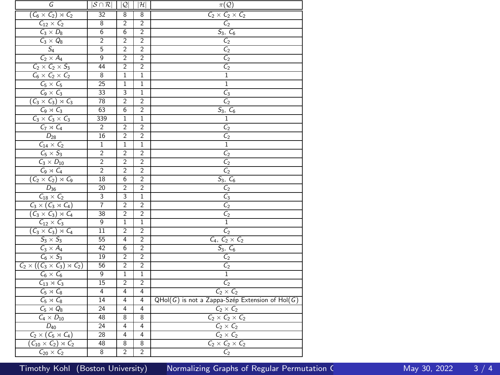| G                                           | $ \mathcal{S} \cap \mathcal{R} $ | $\mathcal{Q}$  | $ \mathcal{H} $ | $\pi(\mathcal{Q})$                              |
|---------------------------------------------|----------------------------------|----------------|-----------------|-------------------------------------------------|
| $(C_6 \times C_2) \rtimes C_2$              | 32                               | 8              | 8               | $C_2 \times C_2 \times C_2$                     |
| $C_{12} \times C_2$                         | 8                                | $\overline{2}$ | $\overline{2}$  | $\frac{C_2}{S_3, C_6}$                          |
| $C_3 \times D_8$                            | $\overline{6}$                   | $\overline{6}$ | $\overline{2}$  |                                                 |
| $C_3 \times Q_8$                            | $\overline{2}$                   | $\overline{2}$ | $\overline{2}$  | C <sub>2</sub>                                  |
| $S_4$                                       | 5                                | $\overline{2}$ | $\overline{2}$  | C <sub>2</sub>                                  |
| $C_2 \times A_4$                            | 9                                | $\overline{2}$ | $\overline{2}$  | C <sub>2</sub>                                  |
| $C_2 \times C_2 \times S_3$                 | 44                               | $\overline{2}$ | $\overline{2}$  | C <sub>2</sub>                                  |
| $C_6 \times C_2 \times C_2$                 | 8                                | $\overline{1}$ | $\overline{1}$  | 1                                               |
| $C_5 \times C_5$                            | 25                               | $\overline{1}$ | 1               | 1                                               |
| $C_9 \times C_3$                            | 33                               | 3              | $\overline{1}$  | $C_3$                                           |
| $(C_3 \times C_3) \rtimes C_3$              | 78                               | $\overline{2}$ | $\overline{2}$  | $\frac{C_2}{S_3, C_6}$                          |
| $C_9 \rtimes C_3$                           | 63                               | $\overline{6}$ | $\overline{2}$  |                                                 |
| $C_3 \times C_3 \times C_3$                 | 339                              | $\overline{1}$ | ī               | $\overline{1}$                                  |
| $C_7 \rtimes C_4$                           | $\overline{2}$                   | $\overline{2}$ | $\overline{2}$  | $\mathsf{C}_2$                                  |
| $D_{28}$                                    | 16                               | $\overline{2}$ | $\overline{2}$  | C <sub>2</sub>                                  |
| $C_{14} \times C_2$                         | $\overline{1}$                   | $\overline{1}$ | $\overline{1}$  | $\overline{1}$                                  |
| $C_5 \times S_3$                            | $\overline{2}$                   | $\overline{2}$ | $\overline{2}$  | $C_{2}$                                         |
| $C_3 \times D_{10}$                         | $\overline{2}$                   | $\overline{2}$ | $\overline{2}$  | C <sub>2</sub>                                  |
| $C_9 \rtimes C_4$                           | $\overline{2}$                   | $\overline{2}$ | $\overline{2}$  | $\frac{C_2}{S_3, C_6}$                          |
| $(C_2 \times C_2) \rtimes C_9$              | 18                               | $\overline{6}$ | $\overline{2}$  |                                                 |
| $D_{36}$                                    | 20                               | $\overline{2}$ | $\overline{2}$  | C <sub>2</sub>                                  |
| $C_{18} \times C_2$                         | 3                                | 3              | $\overline{1}$  | $C_3$                                           |
| $C_3 \times (C_3 \times C_4)$               | $\overline{7}$                   | $\overline{2}$ | $\overline{2}$  | C <sub>2</sub>                                  |
| $(C_3 \times C_3) \rtimes C_4$              | 38                               | $\overline{2}$ | $\overline{2}$  | $\mathsf{C}_2$                                  |
| $C_{12} \times C_3$                         | 9                                | $\overline{1}$ | ī               | $\overline{1}$                                  |
| $(C_3 \times C_3) \rtimes C_4$              | $\overline{11}$                  | $\overline{2}$ | $\overline{2}$  | C,                                              |
| $S_3 \times S_3$                            | 55                               | $\overline{4}$ | $\overline{2}$  | $C_4, C_2 \times C_2$                           |
| $C_3 \times A_4$                            | 42                               | $\overline{6}$ | $\overline{2}$  | $\frac{S_3, C_6}{C_2}$                          |
| $C_6 \times S_3$                            | 19                               | $\overline{2}$ | $\overline{2}$  |                                                 |
| $C_2 \times ((C_3 \times C_3) \rtimes C_2)$ | 56                               | $\overline{2}$ | $\overline{2}$  | C <sub>2</sub>                                  |
| $C_6 \times C_6$                            | 9                                | 1              | 1               | T                                               |
| $C_{13} \rtimes C_3$                        | 15                               | $\overline{2}$ | $\overline{2}$  | C <sub>2</sub>                                  |
| $C_5 \rtimes C_8$                           | $\overline{4}$                   | $\overline{4}$ | 4               | $C_2 \times C_2$                                |
| $C_5 \rtimes C_8$                           | 14                               | 4              | 4               | QHol(G) is not a Zappa-Szép Extension of Hol(G) |
| $C_5 \rtimes Q_8$                           | 24                               | $\overline{4}$ | $\overline{4}$  | $C_2 \times C_2$                                |
| $C_4 \times D_{10}$                         | 48                               | 8              | 8               | $C_2 \times C_2 \times C_2$                     |
| $\overline{D_{40}}$                         | 24                               | 4              | 4               | $C_2 \times C_2$                                |
| $C_2 \times (C_5 \times C_4)$               | 28                               | $\overline{4}$ | 4               | $C_2 \times C_2$                                |
| $(C_{10} \times C_2) \rtimes C_2$           | 48                               | 8              | 8               | $C_2 \times C_2 \times C_2$                     |
| $C_{20} \times C_2$                         | 8                                | $\overline{2}$ | $\overline{2}$  | C <sub>2</sub>                                  |

Timothy Kohl (Boston University) Normalizing Graphs of Regular Permutation Chromatic May 30, 2022 3 / 4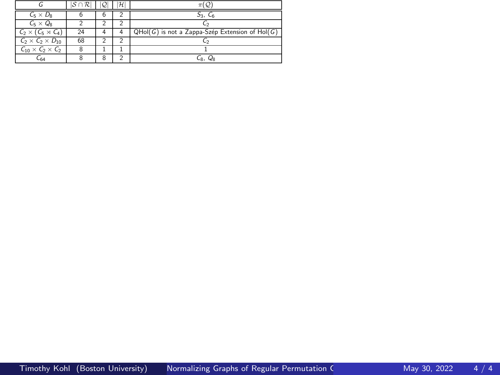|                                | $\cap \mathcal{R}$ |   | $\mathcal{H}$ |                                                 |
|--------------------------------|--------------------|---|---------------|-------------------------------------------------|
| $C_5 \times D_8$               | ь                  | 6 |               |                                                 |
| $C_5 \times Q_8$               |                    |   |               |                                                 |
| $C_2 \times (C_5 \times C_4)$  | 24                 |   |               | QHol(G) is not a Zappa-Szép Extension of Hol(G) |
| $C_2 \times C_2 \times D_{10}$ | 68                 |   |               |                                                 |
| $C_{10} \times C_2 \times C_2$ | 8                  |   |               |                                                 |
| $-60$                          |                    | 8 |               | $\mathbf{R}$                                    |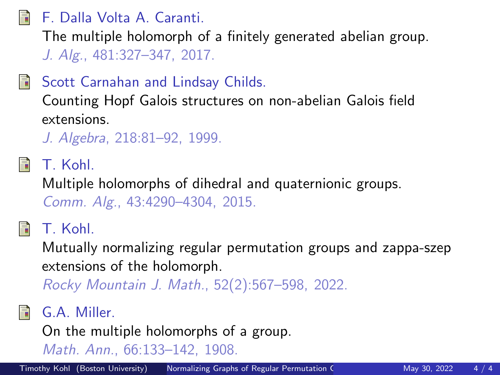<span id="page-53-4"></span>F. Dalla Volta A. Caranti.

The multiple holomorph of a finitely generated abelian group. *J. Alg.*, 481:327–347, 2017.

<span id="page-53-5"></span>Scott Carnahan and Lindsay Childs.

Counting Hopf Galois structures on non-abelian Galois field extensions.

*J. Algebra*, 218:81–92, 1999.

<span id="page-53-3"></span>T. Kohl.

Multiple holomorphs of dihedral and quaternionic groups. *Comm. Alg.*, 43:4290–4304, 2015.

<span id="page-53-0"></span>T. Kohl.

Mutually normalizing regular permutation groups and zappa-szep extensions of the holomorph.

*Rocky Mountain J. Math.*, 52(2):567–598, 2022.

<span id="page-53-1"></span>G.A. Miller.

On the multiple holomorphs of a group.

<span id="page-53-2"></span>*Math. Ann.*, 66:133–142, 1908.